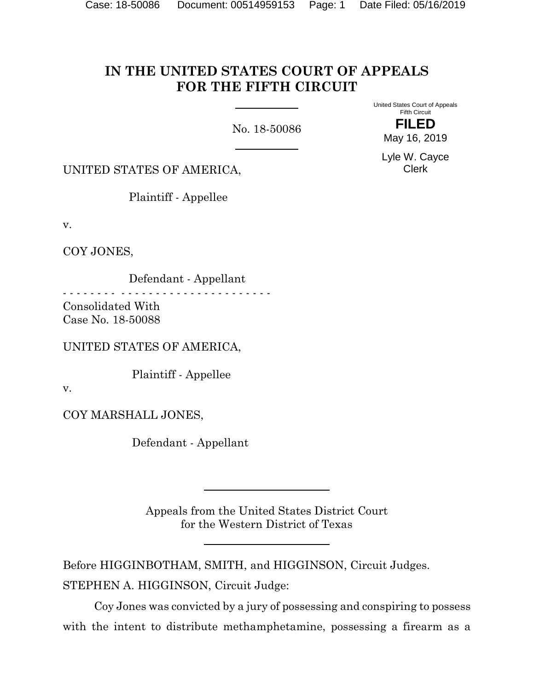# **IN THE UNITED STATES COURT OF APPEALS FOR THE FIFTH CIRCUIT**

No. 18-50086

United States Court of Appeals Fifth Circuit **FILED**

May 16, 2019

Lyle W. Cayce Clerk

UNITED STATES OF AMERICA,

Plaintiff - Appellee

v.

COY JONES,

 Defendant - Appellant - - - - - - - - - - - - - - - - - - - - - - - - - - - - - - Consolidated With

Case No. 18-50088

UNITED STATES OF AMERICA,

Plaintiff - Appellee

v.

COY MARSHALL JONES,

Defendant - Appellant

Appeals from the United States District Court for the Western District of Texas

Before HIGGINBOTHAM, SMITH, and HIGGINSON, Circuit Judges. STEPHEN A. HIGGINSON, Circuit Judge:

Coy Jones was convicted by a jury of possessing and conspiring to possess with the intent to distribute methamphetamine, possessing a firearm as a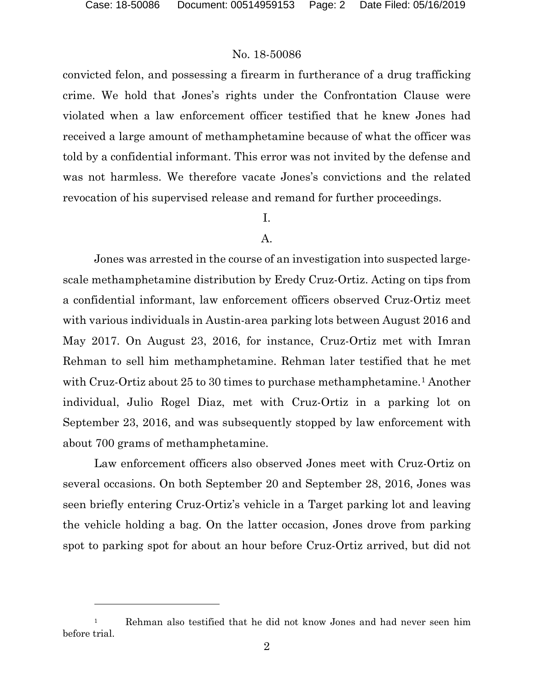l

## No. 18-50086

convicted felon, and possessing a firearm in furtherance of a drug trafficking crime. We hold that Jones's rights under the Confrontation Clause were violated when a law enforcement officer testified that he knew Jones had received a large amount of methamphetamine because of what the officer was told by a confidential informant. This error was not invited by the defense and was not harmless. We therefore vacate Jones's convictions and the related revocation of his supervised release and remand for further proceedings.

## I.

#### A.

Jones was arrested in the course of an investigation into suspected largescale methamphetamine distribution by Eredy Cruz-Ortiz. Acting on tips from a confidential informant, law enforcement officers observed Cruz-Ortiz meet with various individuals in Austin-area parking lots between August 2016 and May 2017. On August 23, 2016, for instance, Cruz-Ortiz met with Imran Rehman to sell him methamphetamine. Rehman later testified that he met with Cruz-Ortiz about 25 to 30 times to purchase methamphetamine.<sup>[1](#page-1-0)</sup> Another individual, Julio Rogel Diaz, met with Cruz-Ortiz in a parking lot on September 23, 2016, and was subsequently stopped by law enforcement with about 700 grams of methamphetamine.

Law enforcement officers also observed Jones meet with Cruz-Ortiz on several occasions. On both September 20 and September 28, 2016, Jones was seen briefly entering Cruz-Ortiz's vehicle in a Target parking lot and leaving the vehicle holding a bag. On the latter occasion, Jones drove from parking spot to parking spot for about an hour before Cruz-Ortiz arrived, but did not

<span id="page-1-0"></span><sup>&</sup>lt;sup>1</sup> Rehman also testified that he did not know Jones and had never seen him before trial.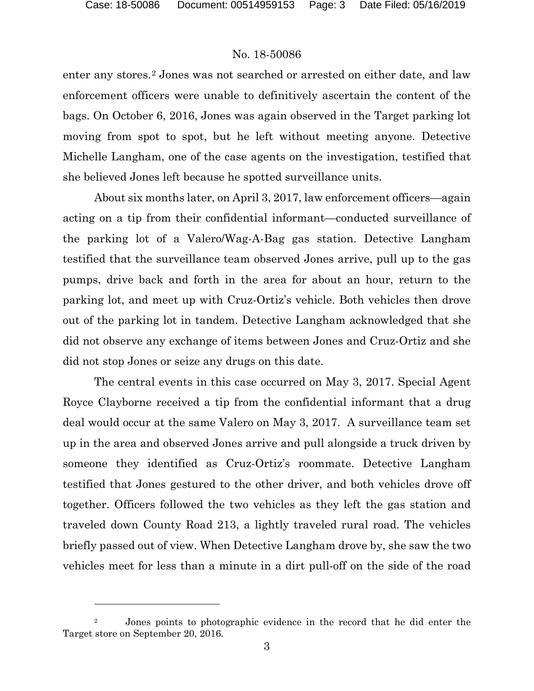l

#### No. 18-50086

enter any stores.<sup>[2](#page-2-0)</sup> Jones was not searched or arrested on either date, and law enforcement officers were unable to definitively ascertain the content of the bags. On October 6, 2016, Jones was again observed in the Target parking lot moving from spot to spot, but he left without meeting anyone. Detective Michelle Langham, one of the case agents on the investigation, testified that she believed Jones left because he spotted surveillance units.

About six months later, on April 3, 2017, law enforcement officers—again acting on a tip from their confidential informant—conducted surveillance of the parking lot of a Valero/Wag-A-Bag gas station. Detective Langham testified that the surveillance team observed Jones arrive, pull up to the gas pumps, drive back and forth in the area for about an hour, return to the parking lot, and meet up with Cruz-Ortiz's vehicle. Both vehicles then drove out of the parking lot in tandem. Detective Langham acknowledged that she did not observe any exchange of items between Jones and Cruz-Ortiz and she did not stop Jones or seize any drugs on this date.

The central events in this case occurred on May 3, 2017. Special Agent Royce Clayborne received a tip from the confidential informant that a drug deal would occur at the same Valero on May 3, 2017. A surveillance team set up in the area and observed Jones arrive and pull alongside a truck driven by someone they identified as Cruz-Ortiz's roommate. Detective Langham testified that Jones gestured to the other driver, and both vehicles drove off together. Officers followed the two vehicles as they left the gas station and traveled down County Road 213, a lightly traveled rural road. The vehicles briefly passed out of view. When Detective Langham drove by, she saw the two vehicles meet for less than a minute in a dirt pull-off on the side of the road

<span id="page-2-0"></span><sup>&</sup>lt;sup>2</sup> Jones points to photographic evidence in the record that he did enter the Target store on September 20, 2016.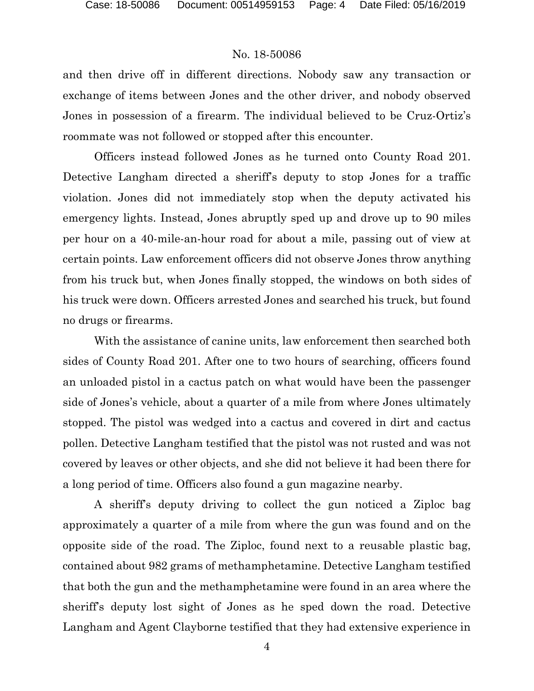and then drive off in different directions. Nobody saw any transaction or exchange of items between Jones and the other driver, and nobody observed Jones in possession of a firearm. The individual believed to be Cruz-Ortiz's roommate was not followed or stopped after this encounter.

Officers instead followed Jones as he turned onto County Road 201. Detective Langham directed a sheriff's deputy to stop Jones for a traffic violation. Jones did not immediately stop when the deputy activated his emergency lights. Instead, Jones abruptly sped up and drove up to 90 miles per hour on a 40-mile-an-hour road for about a mile, passing out of view at certain points. Law enforcement officers did not observe Jones throw anything from his truck but, when Jones finally stopped, the windows on both sides of his truck were down. Officers arrested Jones and searched his truck, but found no drugs or firearms.

With the assistance of canine units, law enforcement then searched both sides of County Road 201. After one to two hours of searching, officers found an unloaded pistol in a cactus patch on what would have been the passenger side of Jones's vehicle, about a quarter of a mile from where Jones ultimately stopped. The pistol was wedged into a cactus and covered in dirt and cactus pollen. Detective Langham testified that the pistol was not rusted and was not covered by leaves or other objects, and she did not believe it had been there for a long period of time. Officers also found a gun magazine nearby.

A sheriff's deputy driving to collect the gun noticed a Ziploc bag approximately a quarter of a mile from where the gun was found and on the opposite side of the road. The Ziploc, found next to a reusable plastic bag, contained about 982 grams of methamphetamine. Detective Langham testified that both the gun and the methamphetamine were found in an area where the sheriff's deputy lost sight of Jones as he sped down the road. Detective Langham and Agent Clayborne testified that they had extensive experience in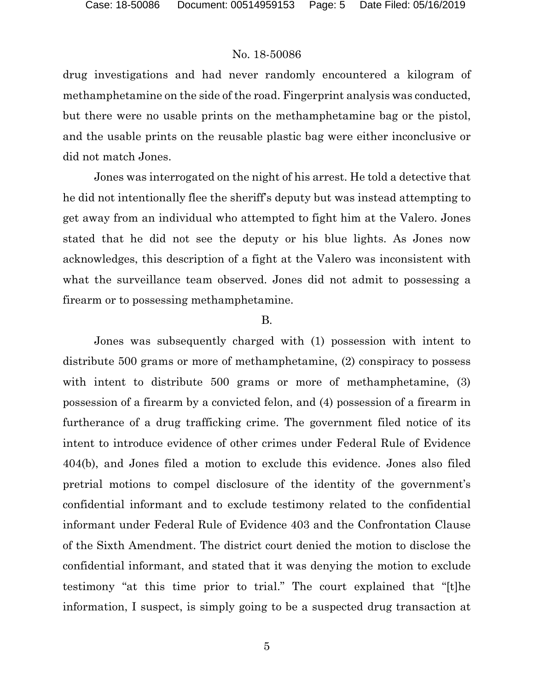drug investigations and had never randomly encountered a kilogram of methamphetamine on the side of the road. Fingerprint analysis was conducted, but there were no usable prints on the methamphetamine bag or the pistol, and the usable prints on the reusable plastic bag were either inconclusive or did not match Jones.

Jones was interrogated on the night of his arrest. He told a detective that he did not intentionally flee the sheriff's deputy but was instead attempting to get away from an individual who attempted to fight him at the Valero. Jones stated that he did not see the deputy or his blue lights. As Jones now acknowledges, this description of a fight at the Valero was inconsistent with what the surveillance team observed. Jones did not admit to possessing a firearm or to possessing methamphetamine.

#### B.

Jones was subsequently charged with (1) possession with intent to distribute 500 grams or more of methamphetamine, (2) conspiracy to possess with intent to distribute 500 grams or more of methamphetamine, (3) possession of a firearm by a convicted felon, and (4) possession of a firearm in furtherance of a drug trafficking crime. The government filed notice of its intent to introduce evidence of other crimes under Federal Rule of Evidence 404(b), and Jones filed a motion to exclude this evidence. Jones also filed pretrial motions to compel disclosure of the identity of the government's confidential informant and to exclude testimony related to the confidential informant under Federal Rule of Evidence 403 and the Confrontation Clause of the Sixth Amendment. The district court denied the motion to disclose the confidential informant, and stated that it was denying the motion to exclude testimony "at this time prior to trial." The court explained that "[t]he information, I suspect, is simply going to be a suspected drug transaction at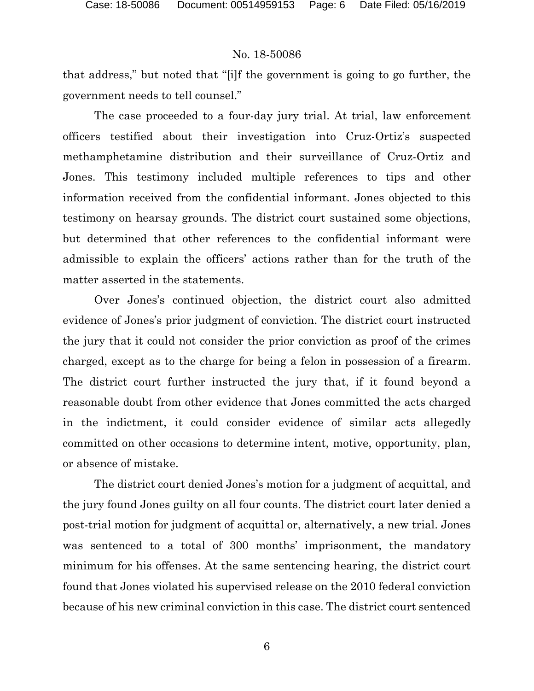that address," but noted that "[i]f the government is going to go further, the government needs to tell counsel."

The case proceeded to a four-day jury trial. At trial, law enforcement officers testified about their investigation into Cruz-Ortiz's suspected methamphetamine distribution and their surveillance of Cruz-Ortiz and Jones. This testimony included multiple references to tips and other information received from the confidential informant. Jones objected to this testimony on hearsay grounds. The district court sustained some objections, but determined that other references to the confidential informant were admissible to explain the officers' actions rather than for the truth of the matter asserted in the statements.

Over Jones's continued objection, the district court also admitted evidence of Jones's prior judgment of conviction. The district court instructed the jury that it could not consider the prior conviction as proof of the crimes charged, except as to the charge for being a felon in possession of a firearm. The district court further instructed the jury that, if it found beyond a reasonable doubt from other evidence that Jones committed the acts charged in the indictment, it could consider evidence of similar acts allegedly committed on other occasions to determine intent, motive, opportunity, plan, or absence of mistake.

The district court denied Jones's motion for a judgment of acquittal, and the jury found Jones guilty on all four counts. The district court later denied a post-trial motion for judgment of acquittal or, alternatively, a new trial. Jones was sentenced to a total of 300 months' imprisonment, the mandatory minimum for his offenses. At the same sentencing hearing, the district court found that Jones violated his supervised release on the 2010 federal conviction because of his new criminal conviction in this case. The district court sentenced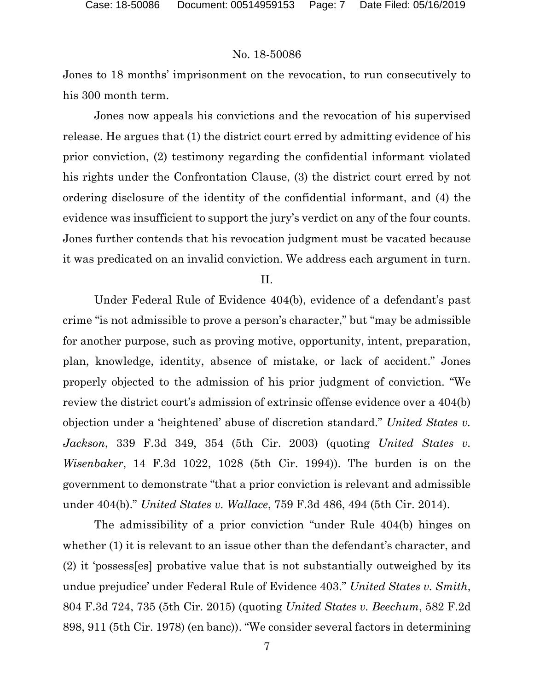Jones to 18 months' imprisonment on the revocation, to run consecutively to his 300 month term.

Jones now appeals his convictions and the revocation of his supervised release. He argues that (1) the district court erred by admitting evidence of his prior conviction, (2) testimony regarding the confidential informant violated his rights under the Confrontation Clause, (3) the district court erred by not ordering disclosure of the identity of the confidential informant, and (4) the evidence was insufficient to support the jury's verdict on any of the four counts. Jones further contends that his revocation judgment must be vacated because it was predicated on an invalid conviction. We address each argument in turn.

II.

Under Federal Rule of Evidence 404(b), evidence of a defendant's past crime "is not admissible to prove a person's character," but "may be admissible for another purpose, such as proving motive, opportunity, intent, preparation, plan, knowledge, identity, absence of mistake, or lack of accident." Jones properly objected to the admission of his prior judgment of conviction. "We review the district court's admission of extrinsic offense evidence over a 404(b) objection under a 'heightened' abuse of discretion standard." *United States v. Jackson*, 339 F.3d 349, 354 (5th Cir. 2003) (quoting *United States v. Wisenbaker*, 14 F.3d 1022, 1028 (5th Cir. 1994)). The burden is on the government to demonstrate "that a prior conviction is relevant and admissible under 404(b)." *United States v. Wallace*, 759 F.3d 486, 494 (5th Cir. 2014).

The admissibility of a prior conviction "under Rule 404(b) hinges on whether (1) it is relevant to an issue other than the defendant's character, and (2) it 'possess[es] probative value that is not substantially outweighed by its undue prejudice' under Federal Rule of Evidence 403." *United States v. Smith*, 804 F.3d 724, 735 (5th Cir. 2015) (quoting *United States v. Beechum*, 582 F.2d 898, 911 (5th Cir. 1978) (en banc)). "We consider several factors in determining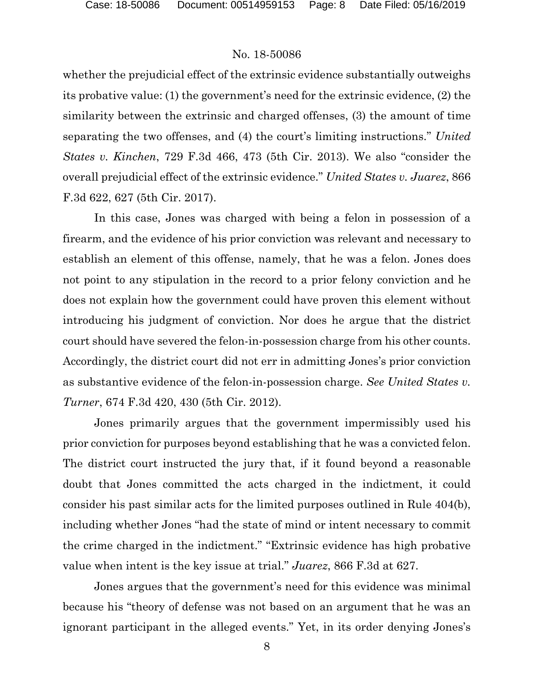whether the prejudicial effect of the extrinsic evidence substantially outweighs its probative value: (1) the government's need for the extrinsic evidence, (2) the similarity between the extrinsic and charged offenses, (3) the amount of time separating the two offenses, and (4) the court's limiting instructions." *United States v. Kinchen*, 729 F.3d 466, 473 (5th Cir. 2013). We also "consider the overall prejudicial effect of the extrinsic evidence." *United States v. Juarez*, 866 F.3d 622, 627 (5th Cir. 2017).

In this case, Jones was charged with being a felon in possession of a firearm, and the evidence of his prior conviction was relevant and necessary to establish an element of this offense, namely, that he was a felon. Jones does not point to any stipulation in the record to a prior felony conviction and he does not explain how the government could have proven this element without introducing his judgment of conviction. Nor does he argue that the district court should have severed the felon-in-possession charge from his other counts. Accordingly, the district court did not err in admitting Jones's prior conviction as substantive evidence of the felon-in-possession charge. *See United States v. Turner*, 674 F.3d 420, 430 (5th Cir. 2012).

Jones primarily argues that the government impermissibly used his prior conviction for purposes beyond establishing that he was a convicted felon. The district court instructed the jury that, if it found beyond a reasonable doubt that Jones committed the acts charged in the indictment, it could consider his past similar acts for the limited purposes outlined in Rule 404(b), including whether Jones "had the state of mind or intent necessary to commit the crime charged in the indictment." "Extrinsic evidence has high probative value when intent is the key issue at trial." *Juarez*, 866 F.3d at 627.

Jones argues that the government's need for this evidence was minimal because his "theory of defense was not based on an argument that he was an ignorant participant in the alleged events." Yet, in its order denying Jones's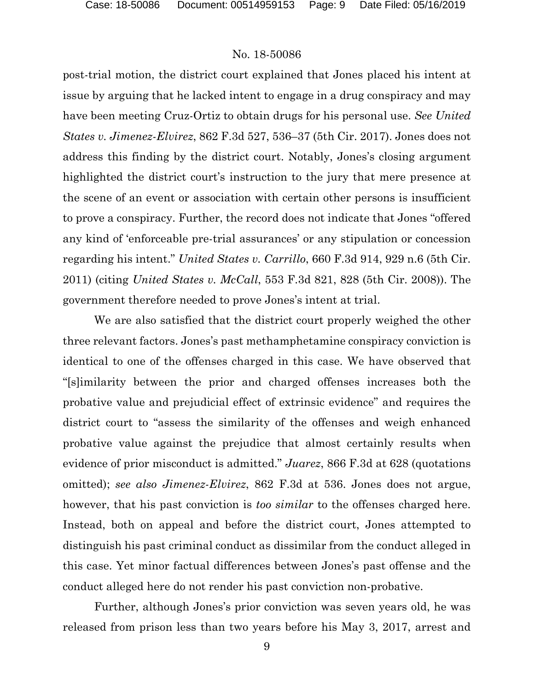post-trial motion, the district court explained that Jones placed his intent at issue by arguing that he lacked intent to engage in a drug conspiracy and may have been meeting Cruz-Ortiz to obtain drugs for his personal use. *See United States v. Jimenez-Elvirez*, 862 F.3d 527, 536–37 (5th Cir. 2017). Jones does not address this finding by the district court. Notably, Jones's closing argument highlighted the district court's instruction to the jury that mere presence at the scene of an event or association with certain other persons is insufficient to prove a conspiracy. Further, the record does not indicate that Jones "offered any kind of 'enforceable pre-trial assurances' or any stipulation or concession regarding his intent." *United States v. Carrillo*, 660 F.3d 914, 929 n.6 (5th Cir. 2011) (citing *United States v. McCall*, 553 F.3d 821, 828 (5th Cir. 2008)). The government therefore needed to prove Jones's intent at trial.

We are also satisfied that the district court properly weighed the other three relevant factors. Jones's past methamphetamine conspiracy conviction is identical to one of the offenses charged in this case. We have observed that "[s]imilarity between the prior and charged offenses increases both the probative value and prejudicial effect of extrinsic evidence" and requires the district court to "assess the similarity of the offenses and weigh enhanced probative value against the prejudice that almost certainly results when evidence of prior misconduct is admitted." *Juarez*, 866 F.3d at 628 (quotations omitted); *see also Jimenez-Elvirez*, 862 F.3d at 536. Jones does not argue, however, that his past conviction is *too similar* to the offenses charged here. Instead, both on appeal and before the district court, Jones attempted to distinguish his past criminal conduct as dissimilar from the conduct alleged in this case. Yet minor factual differences between Jones's past offense and the conduct alleged here do not render his past conviction non-probative.

Further, although Jones's prior conviction was seven years old, he was released from prison less than two years before his May 3, 2017, arrest and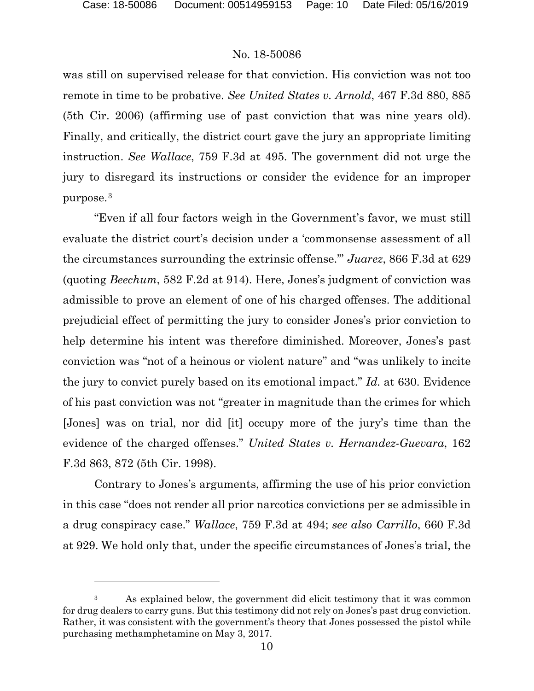$\overline{a}$ 

#### No. 18-50086

was still on supervised release for that conviction. His conviction was not too remote in time to be probative. *See United States v. Arnold*, 467 F.3d 880, 885 (5th Cir. 2006) (affirming use of past conviction that was nine years old). Finally, and critically, the district court gave the jury an appropriate limiting instruction. *See Wallace*, 759 F.3d at 495. The government did not urge the jury to disregard its instructions or consider the evidence for an improper purpose.[3](#page-9-0)

"Even if all four factors weigh in the Government's favor, we must still evaluate the district court's decision under a 'commonsense assessment of all the circumstances surrounding the extrinsic offense.'" *Juarez*, 866 F.3d at 629 (quoting *Beechum*, 582 F.2d at 914). Here, Jones's judgment of conviction was admissible to prove an element of one of his charged offenses. The additional prejudicial effect of permitting the jury to consider Jones's prior conviction to help determine his intent was therefore diminished. Moreover, Jones's past conviction was "not of a heinous or violent nature" and "was unlikely to incite the jury to convict purely based on its emotional impact." *Id.* at 630. Evidence of his past conviction was not "greater in magnitude than the crimes for which [Jones] was on trial, nor did [it] occupy more of the jury's time than the evidence of the charged offenses." *United States v. Hernandez-Guevara*, 162 F.3d 863, 872 (5th Cir. 1998).

Contrary to Jones's arguments, affirming the use of his prior conviction in this case "does not render all prior narcotics convictions per se admissible in a drug conspiracy case." *Wallace*, 759 F.3d at 494; *see also Carrillo*, 660 F.3d at 929. We hold only that, under the specific circumstances of Jones's trial, the

<span id="page-9-0"></span><sup>&</sup>lt;sup>3</sup> As explained below, the government did elicit testimony that it was common for drug dealers to carry guns. But this testimony did not rely on Jones's past drug conviction. Rather, it was consistent with the government's theory that Jones possessed the pistol while purchasing methamphetamine on May 3, 2017.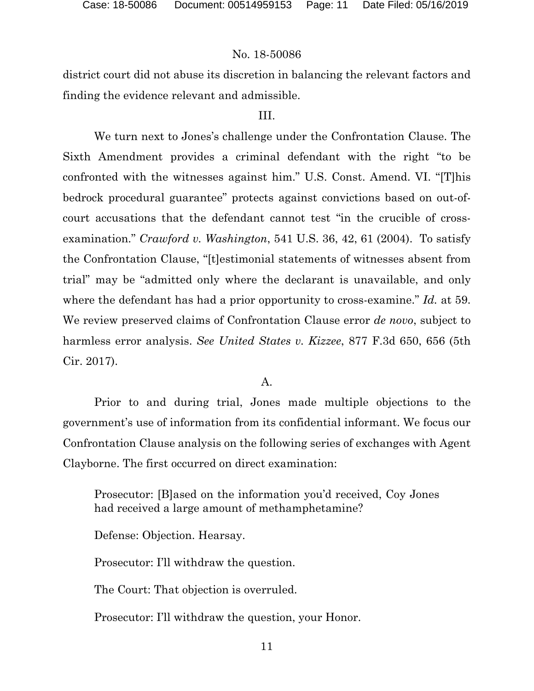district court did not abuse its discretion in balancing the relevant factors and finding the evidence relevant and admissible.

#### III.

We turn next to Jones's challenge under the Confrontation Clause. The Sixth Amendment provides a criminal defendant with the right "to be confronted with the witnesses against him." U.S. Const. Amend. VI. "[T]his bedrock procedural guarantee" protects against convictions based on out-ofcourt accusations that the defendant cannot test "in the crucible of crossexamination." *Crawford v. Washington*, 541 U.S. 36, 42, 61 (2004). To satisfy the Confrontation Clause, "[t]estimonial statements of witnesses absent from trial" may be "admitted only where the declarant is unavailable, and only where the defendant has had a prior opportunity to cross-examine." *Id.* at 59. We review preserved claims of Confrontation Clause error *de novo*, subject to harmless error analysis. *See United States v. Kizzee*, 877 F.3d 650, 656 (5th Cir. 2017).

#### A.

Prior to and during trial, Jones made multiple objections to the government's use of information from its confidential informant. We focus our Confrontation Clause analysis on the following series of exchanges with Agent Clayborne. The first occurred on direct examination:

Prosecutor: [B]ased on the information you'd received, Coy Jones had received a large amount of methamphetamine?

Defense: Objection. Hearsay.

Prosecutor: I'll withdraw the question.

The Court: That objection is overruled.

Prosecutor: I'll withdraw the question, your Honor.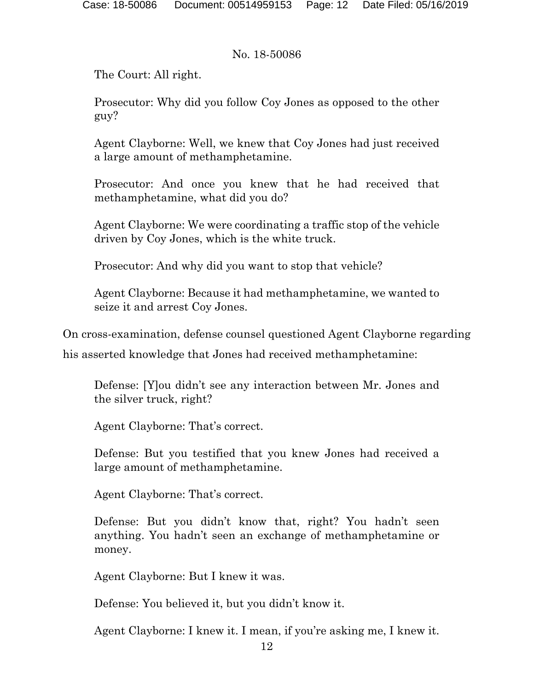The Court: All right.

Prosecutor: Why did you follow Coy Jones as opposed to the other guy?

Agent Clayborne: Well, we knew that Coy Jones had just received a large amount of methamphetamine.

Prosecutor: And once you knew that he had received that methamphetamine, what did you do?

Agent Clayborne: We were coordinating a traffic stop of the vehicle driven by Coy Jones, which is the white truck.

Prosecutor: And why did you want to stop that vehicle?

Agent Clayborne: Because it had methamphetamine, we wanted to seize it and arrest Coy Jones.

On cross-examination, defense counsel questioned Agent Clayborne regarding

his asserted knowledge that Jones had received methamphetamine:

Defense: [Y]ou didn't see any interaction between Mr. Jones and the silver truck, right?

Agent Clayborne: That's correct.

Defense: But you testified that you knew Jones had received a large amount of methamphetamine.

Agent Clayborne: That's correct.

Defense: But you didn't know that, right? You hadn't seen anything. You hadn't seen an exchange of methamphetamine or money.

Agent Clayborne: But I knew it was.

Defense: You believed it, but you didn't know it.

Agent Clayborne: I knew it. I mean, if you're asking me, I knew it.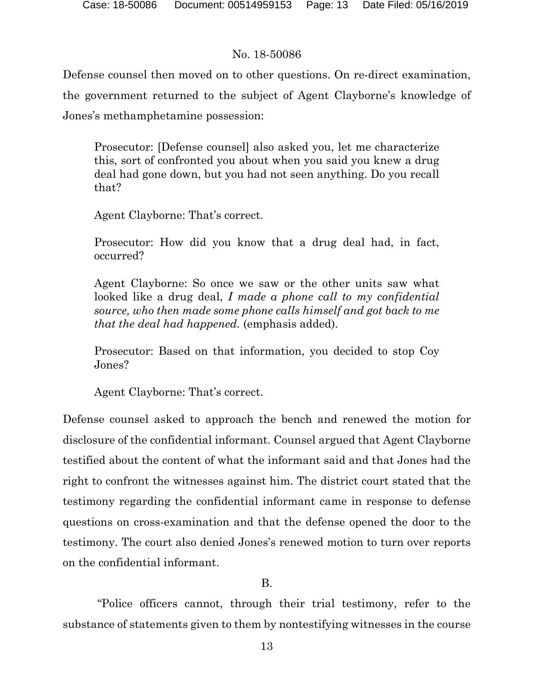Defense counsel then moved on to other questions. On re-direct examination, the government returned to the subject of Agent Clayborne's knowledge of Jones's methamphetamine possession:

Prosecutor: [Defense counsel] also asked you, let me characterize this, sort of confronted you about when you said you knew a drug deal had gone down, but you had not seen anything. Do you recall that?

Agent Clayborne: That's correct.

Prosecutor: How did you know that a drug deal had, in fact, occurred?

Agent Clayborne: So once we saw or the other units saw what looked like a drug deal, *I made a phone call to my confidential source, who then made some phone calls himself and got back to me that the deal had happened.* (emphasis added).

Prosecutor: Based on that information, you decided to stop Coy Jones?

Agent Clayborne: That's correct.

Defense counsel asked to approach the bench and renewed the motion for disclosure of the confidential informant. Counsel argued that Agent Clayborne testified about the content of what the informant said and that Jones had the right to confront the witnesses against him. The district court stated that the testimony regarding the confidential informant came in response to defense questions on cross-examination and that the defense opened the door to the testimony. The court also denied Jones's renewed motion to turn over reports on the confidential informant.

## B.

"Police officers cannot, through their trial testimony, refer to the substance of statements given to them by nontestifying witnesses in the course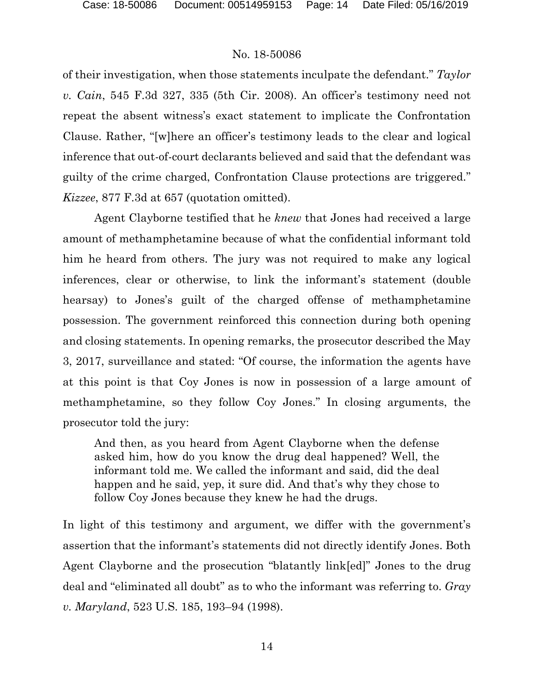of their investigation, when those statements inculpate the defendant." *Taylor v. Cain*, 545 F.3d 327, 335 (5th Cir. 2008). An officer's testimony need not repeat the absent witness's exact statement to implicate the Confrontation Clause. Rather, "[w]here an officer's testimony leads to the clear and logical inference that out-of-court declarants believed and said that the defendant was guilty of the crime charged, Confrontation Clause protections are triggered." *Kizzee*, 877 F.3d at 657 (quotation omitted).

Agent Clayborne testified that he *knew* that Jones had received a large amount of methamphetamine because of what the confidential informant told him he heard from others. The jury was not required to make any logical inferences, clear or otherwise, to link the informant's statement (double hearsay) to Jones's guilt of the charged offense of methamphetamine possession. The government reinforced this connection during both opening and closing statements. In opening remarks, the prosecutor described the May 3, 2017, surveillance and stated: "Of course, the information the agents have at this point is that Coy Jones is now in possession of a large amount of methamphetamine, so they follow Coy Jones." In closing arguments, the prosecutor told the jury:

And then, as you heard from Agent Clayborne when the defense asked him, how do you know the drug deal happened? Well, the informant told me. We called the informant and said, did the deal happen and he said, yep, it sure did. And that's why they chose to follow Coy Jones because they knew he had the drugs.

In light of this testimony and argument, we differ with the government's assertion that the informant's statements did not directly identify Jones. Both Agent Clayborne and the prosecution "blatantly link[ed]" Jones to the drug deal and "eliminated all doubt" as to who the informant was referring to. *Gray v. Maryland*, 523 U.S. 185, 193–94 (1998).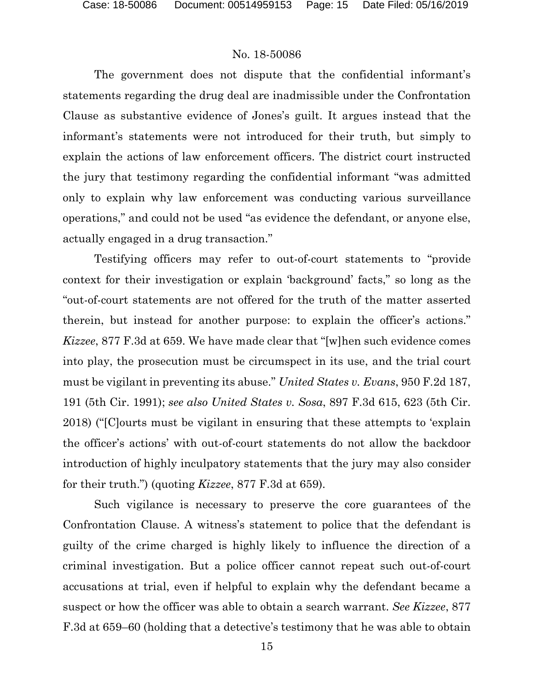The government does not dispute that the confidential informant's statements regarding the drug deal are inadmissible under the Confrontation Clause as substantive evidence of Jones's guilt. It argues instead that the informant's statements were not introduced for their truth, but simply to explain the actions of law enforcement officers. The district court instructed the jury that testimony regarding the confidential informant "was admitted only to explain why law enforcement was conducting various surveillance operations," and could not be used "as evidence the defendant, or anyone else, actually engaged in a drug transaction."

Testifying officers may refer to out-of-court statements to "provide context for their investigation or explain 'background' facts," so long as the "out-of-court statements are not offered for the truth of the matter asserted therein, but instead for another purpose: to explain the officer's actions." *Kizzee*, 877 F.3d at 659. We have made clear that "[w]hen such evidence comes into play, the prosecution must be circumspect in its use, and the trial court must be vigilant in preventing its abuse." *United States v. Evans*, 950 F.2d 187, 191 (5th Cir. 1991); *see also United States v. Sosa*, 897 F.3d 615, 623 (5th Cir. 2018) ("[C]ourts must be vigilant in ensuring that these attempts to 'explain the officer's actions' with out-of-court statements do not allow the backdoor introduction of highly inculpatory statements that the jury may also consider for their truth.") (quoting *Kizzee*, 877 F.3d at 659).

Such vigilance is necessary to preserve the core guarantees of the Confrontation Clause. A witness's statement to police that the defendant is guilty of the crime charged is highly likely to influence the direction of a criminal investigation. But a police officer cannot repeat such out-of-court accusations at trial, even if helpful to explain why the defendant became a suspect or how the officer was able to obtain a search warrant. *See Kizzee*, 877 F.3d at 659–60 (holding that a detective's testimony that he was able to obtain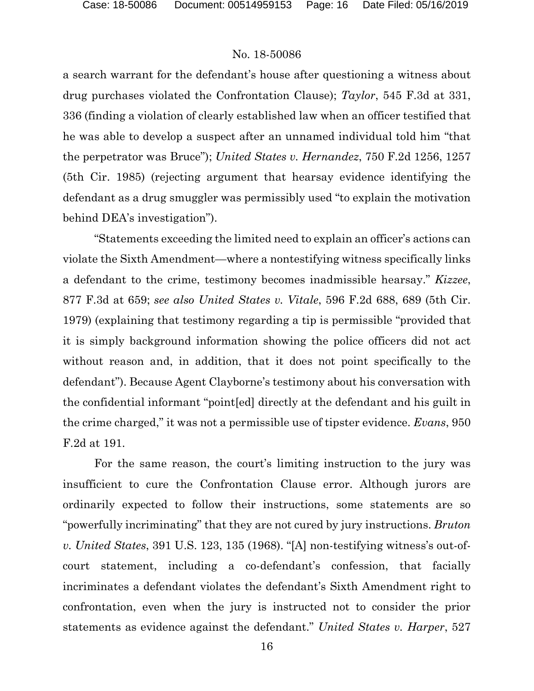a search warrant for the defendant's house after questioning a witness about drug purchases violated the Confrontation Clause); *Taylor*, 545 F.3d at 331, 336 (finding a violation of clearly established law when an officer testified that he was able to develop a suspect after an unnamed individual told him "that the perpetrator was Bruce"); *United States v. Hernandez*, 750 F.2d 1256, 1257 (5th Cir. 1985) (rejecting argument that hearsay evidence identifying the defendant as a drug smuggler was permissibly used "to explain the motivation behind DEA's investigation").

"Statements exceeding the limited need to explain an officer's actions can violate the Sixth Amendment—where a nontestifying witness specifically links a defendant to the crime, testimony becomes inadmissible hearsay." *Kizzee*, 877 F.3d at 659; *see also United States v. Vitale*, 596 F.2d 688, 689 (5th Cir. 1979) (explaining that testimony regarding a tip is permissible "provided that it is simply background information showing the police officers did not act without reason and, in addition, that it does not point specifically to the defendant"). Because Agent Clayborne's testimony about his conversation with the confidential informant "point[ed] directly at the defendant and his guilt in the crime charged," it was not a permissible use of tipster evidence. *Evans*, 950 F.2d at 191.

For the same reason, the court's limiting instruction to the jury was insufficient to cure the Confrontation Clause error. Although jurors are ordinarily expected to follow their instructions, some statements are so "powerfully incriminating" that they are not cured by jury instructions. *Bruton v. United States*, 391 U.S. 123, 135 (1968). "[A] non-testifying witness's out-ofcourt statement, including a co-defendant's confession, that facially incriminates a defendant violates the defendant's Sixth Amendment right to confrontation, even when the jury is instructed not to consider the prior statements as evidence against the defendant." *United States v. Harper*, 527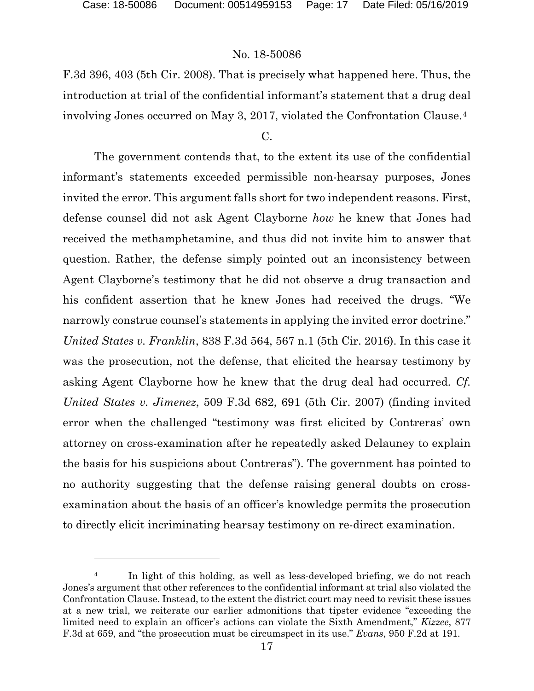$\overline{a}$ 

#### No. 18-50086

F.3d 396, 403 (5th Cir. 2008). That is precisely what happened here. Thus, the introduction at trial of the confidential informant's statement that a drug deal involving Jones occurred on May 3, 2017, violated the Confrontation Clause.[4](#page-16-0)

### $C_{\cdot}$

The government contends that, to the extent its use of the confidential informant's statements exceeded permissible non-hearsay purposes, Jones invited the error. This argument falls short for two independent reasons. First, defense counsel did not ask Agent Clayborne *how* he knew that Jones had received the methamphetamine, and thus did not invite him to answer that question. Rather, the defense simply pointed out an inconsistency between Agent Clayborne's testimony that he did not observe a drug transaction and his confident assertion that he knew Jones had received the drugs. "We narrowly construe counsel's statements in applying the invited error doctrine." *United States v. Franklin*, 838 F.3d 564, 567 n.1 (5th Cir. 2016). In this case it was the prosecution, not the defense, that elicited the hearsay testimony by asking Agent Clayborne how he knew that the drug deal had occurred. *Cf. United States v. Jimenez*, 509 F.3d 682, 691 (5th Cir. 2007) (finding invited error when the challenged "testimony was first elicited by Contreras' own attorney on cross-examination after he repeatedly asked Delauney to explain the basis for his suspicions about Contreras"). The government has pointed to no authority suggesting that the defense raising general doubts on crossexamination about the basis of an officer's knowledge permits the prosecution to directly elicit incriminating hearsay testimony on re-direct examination.

<span id="page-16-0"></span>In light of this holding, as well as less-developed briefing, we do not reach Jones's argument that other references to the confidential informant at trial also violated the Confrontation Clause. Instead, to the extent the district court may need to revisit these issues at a new trial, we reiterate our earlier admonitions that tipster evidence "exceeding the limited need to explain an officer's actions can violate the Sixth Amendment," *Kizzee*, 877 F.3d at 659, and "the prosecution must be circumspect in its use." *Evans*, 950 F.2d at 191.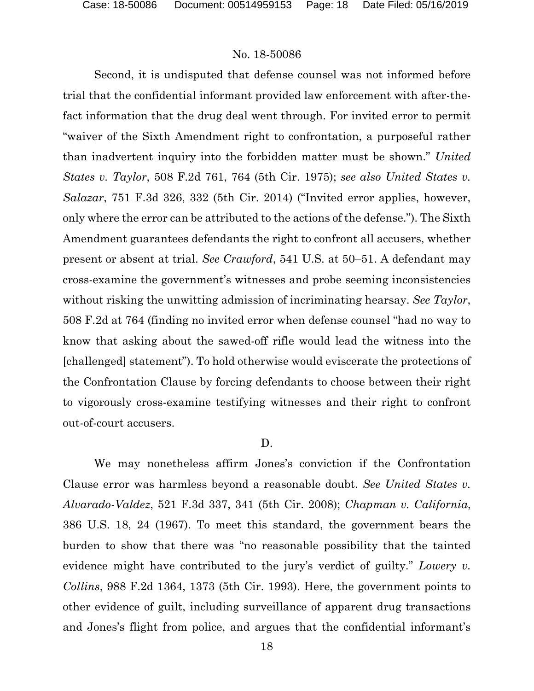Second, it is undisputed that defense counsel was not informed before trial that the confidential informant provided law enforcement with after-thefact information that the drug deal went through. For invited error to permit "waiver of the Sixth Amendment right to confrontation, a purposeful rather than inadvertent inquiry into the forbidden matter must be shown." *United States v. Taylor*, 508 F.2d 761, 764 (5th Cir. 1975); *see also United States v. Salazar*, 751 F.3d 326, 332 (5th Cir. 2014) ("Invited error applies, however, only where the error can be attributed to the actions of the defense."). The Sixth Amendment guarantees defendants the right to confront all accusers, whether present or absent at trial. *See Crawford*, 541 U.S. at 50–51. A defendant may cross-examine the government's witnesses and probe seeming inconsistencies without risking the unwitting admission of incriminating hearsay. *See Taylor*, 508 F.2d at 764 (finding no invited error when defense counsel "had no way to know that asking about the sawed-off rifle would lead the witness into the [challenged] statement"). To hold otherwise would eviscerate the protections of the Confrontation Clause by forcing defendants to choose between their right to vigorously cross-examine testifying witnesses and their right to confront out-of-court accusers.

#### D.

We may nonetheless affirm Jones's conviction if the Confrontation Clause error was harmless beyond a reasonable doubt. *See United States v. Alvarado-Valdez*, 521 F.3d 337, 341 (5th Cir. 2008); *Chapman v. California*, 386 U.S. 18, 24 (1967). To meet this standard, the government bears the burden to show that there was "no reasonable possibility that the tainted evidence might have contributed to the jury's verdict of guilty." *Lowery v. Collins*, 988 F.2d 1364, 1373 (5th Cir. 1993). Here, the government points to other evidence of guilt, including surveillance of apparent drug transactions and Jones's flight from police, and argues that the confidential informant's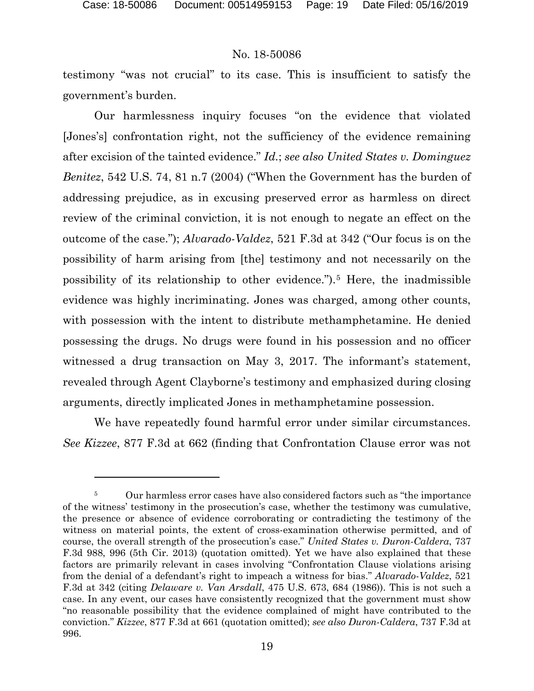l

#### No. 18-50086

testimony "was not crucial" to its case. This is insufficient to satisfy the government's burden.

Our harmlessness inquiry focuses "on the evidence that violated [Jones's] confrontation right, not the sufficiency of the evidence remaining after excision of the tainted evidence." *Id.*; *see also United States v. Dominguez Benitez*, 542 U.S. 74, 81 n.7 (2004) ("When the Government has the burden of addressing prejudice, as in excusing preserved error as harmless on direct review of the criminal conviction, it is not enough to negate an effect on the outcome of the case."); *Alvarado-Valdez*, 521 F.3d at 342 ("Our focus is on the possibility of harm arising from [the] testimony and not necessarily on the possibility of its relationship to other evidence.").[5](#page-18-0) Here, the inadmissible evidence was highly incriminating. Jones was charged, among other counts, with possession with the intent to distribute methamphetamine. He denied possessing the drugs. No drugs were found in his possession and no officer witnessed a drug transaction on May 3, 2017. The informant's statement, revealed through Agent Clayborne's testimony and emphasized during closing arguments, directly implicated Jones in methamphetamine possession.

We have repeatedly found harmful error under similar circumstances. *See Kizzee*, 877 F.3d at 662 (finding that Confrontation Clause error was not

<span id="page-18-0"></span><sup>&</sup>lt;sup>5</sup> Our harmless error cases have also considered factors such as "the importance" of the witness' testimony in the prosecution's case, whether the testimony was cumulative, the presence or absence of evidence corroborating or contradicting the testimony of the witness on material points, the extent of cross-examination otherwise permitted, and of course, the overall strength of the prosecution's case." *United States v. Duron-Caldera*, 737 F.3d 988, 996 (5th Cir. 2013) (quotation omitted). Yet we have also explained that these factors are primarily relevant in cases involving "Confrontation Clause violations arising from the denial of a defendant's right to impeach a witness for bias." *Alvarado-Valdez*, 521 F.3d at 342 (citing *Delaware v. Van Arsdall*, 475 U.S. 673, 684 (1986)). This is not such a case. In any event, our cases have consistently recognized that the government must show "no reasonable possibility that the evidence complained of might have contributed to the conviction." *Kizzee*, 877 F.3d at 661 (quotation omitted); *see also Duron-Caldera*, 737 F.3d at 996.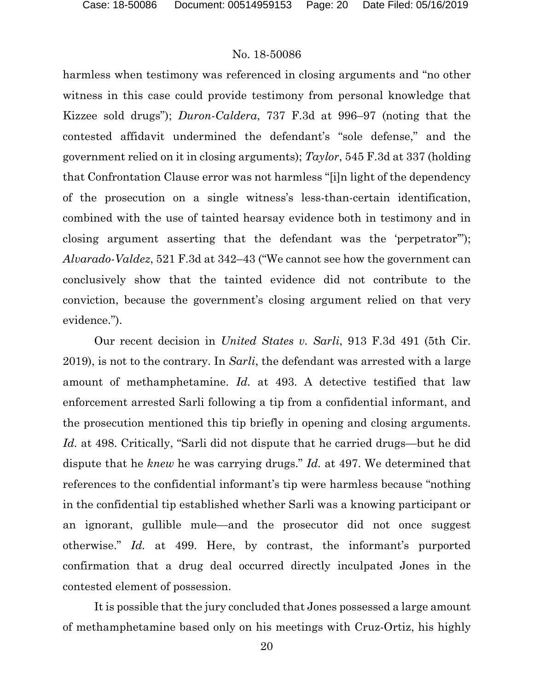harmless when testimony was referenced in closing arguments and "no other witness in this case could provide testimony from personal knowledge that Kizzee sold drugs"); *Duron-Caldera*, 737 F.3d at 996–97 (noting that the contested affidavit undermined the defendant's "sole defense," and the government relied on it in closing arguments); *Taylor*, 545 F.3d at 337 (holding that Confrontation Clause error was not harmless "[i]n light of the dependency of the prosecution on a single witness's less-than-certain identification, combined with the use of tainted hearsay evidence both in testimony and in closing argument asserting that the defendant was the 'perpetrator'"); *Alvarado-Valdez*, 521 F.3d at 342–43 ("We cannot see how the government can conclusively show that the tainted evidence did not contribute to the conviction, because the government's closing argument relied on that very evidence.").

Our recent decision in *United States v. Sarli*, 913 F.3d 491 (5th Cir. 2019), is not to the contrary. In *Sarli*, the defendant was arrested with a large amount of methamphetamine. *Id.* at 493. A detective testified that law enforcement arrested Sarli following a tip from a confidential informant, and the prosecution mentioned this tip briefly in opening and closing arguments. *Id.* at 498. Critically, "Sarli did not dispute that he carried drugs—but he did dispute that he *knew* he was carrying drugs." *Id.* at 497. We determined that references to the confidential informant's tip were harmless because "nothing in the confidential tip established whether Sarli was a knowing participant or an ignorant, gullible mule—and the prosecutor did not once suggest otherwise." *Id.* at 499. Here, by contrast, the informant's purported confirmation that a drug deal occurred directly inculpated Jones in the contested element of possession.

It is possible that the jury concluded that Jones possessed a large amount of methamphetamine based only on his meetings with Cruz-Ortiz, his highly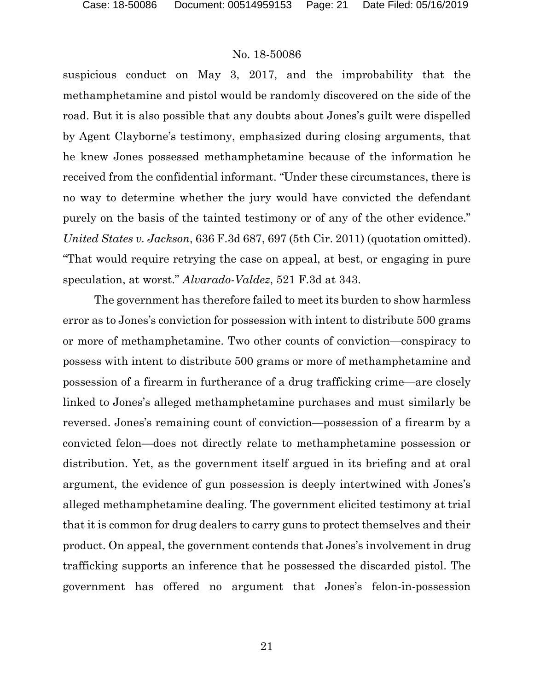suspicious conduct on May 3, 2017, and the improbability that the methamphetamine and pistol would be randomly discovered on the side of the road. But it is also possible that any doubts about Jones's guilt were dispelled by Agent Clayborne's testimony, emphasized during closing arguments, that he knew Jones possessed methamphetamine because of the information he received from the confidential informant. "Under these circumstances, there is no way to determine whether the jury would have convicted the defendant purely on the basis of the tainted testimony or of any of the other evidence." *United States v. Jackson*, 636 F.3d 687, 697 (5th Cir. 2011) (quotation omitted). "That would require retrying the case on appeal, at best, or engaging in pure speculation, at worst." *Alvarado-Valdez*, 521 F.3d at 343.

The government has therefore failed to meet its burden to show harmless error as to Jones's conviction for possession with intent to distribute 500 grams or more of methamphetamine. Two other counts of conviction—conspiracy to possess with intent to distribute 500 grams or more of methamphetamine and possession of a firearm in furtherance of a drug trafficking crime—are closely linked to Jones's alleged methamphetamine purchases and must similarly be reversed. Jones's remaining count of conviction—possession of a firearm by a convicted felon—does not directly relate to methamphetamine possession or distribution. Yet, as the government itself argued in its briefing and at oral argument, the evidence of gun possession is deeply intertwined with Jones's alleged methamphetamine dealing. The government elicited testimony at trial that it is common for drug dealers to carry guns to protect themselves and their product. On appeal, the government contends that Jones's involvement in drug trafficking supports an inference that he possessed the discarded pistol. The government has offered no argument that Jones's felon-in-possession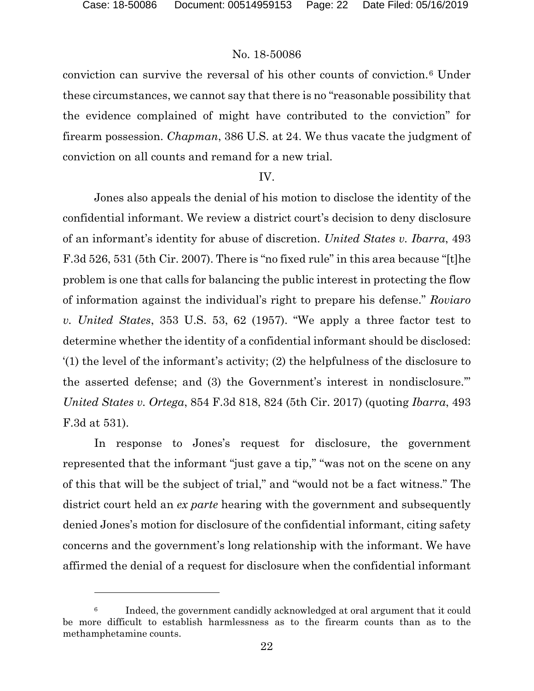$\overline{a}$ 

#### No. 18-50086

conviction can survive the reversal of his other counts of conviction.[6](#page-21-0) Under these circumstances, we cannot say that there is no "reasonable possibility that the evidence complained of might have contributed to the conviction" for firearm possession. *Chapman*, 386 U.S. at 24. We thus vacate the judgment of conviction on all counts and remand for a new trial.

#### IV.

Jones also appeals the denial of his motion to disclose the identity of the confidential informant. We review a district court's decision to deny disclosure of an informant's identity for abuse of discretion. *United States v. Ibarra*, 493 F.3d 526, 531 (5th Cir. 2007). There is "no fixed rule" in this area because "[t]he problem is one that calls for balancing the public interest in protecting the flow of information against the individual's right to prepare his defense." *Roviaro v. United States*, 353 U.S. 53, 62 (1957). "We apply a three factor test to determine whether the identity of a confidential informant should be disclosed: '(1) the level of the informant's activity; (2) the helpfulness of the disclosure to the asserted defense; and (3) the Government's interest in nondisclosure.'" *United States v. Ortega*, 854 F.3d 818, 824 (5th Cir. 2017) (quoting *Ibarra*, 493 F.3d at 531).

In response to Jones's request for disclosure, the government represented that the informant "just gave a tip," "was not on the scene on any of this that will be the subject of trial," and "would not be a fact witness." The district court held an *ex parte* hearing with the government and subsequently denied Jones's motion for disclosure of the confidential informant, citing safety concerns and the government's long relationship with the informant. We have affirmed the denial of a request for disclosure when the confidential informant

<span id="page-21-0"></span><sup>6</sup> Indeed, the government candidly acknowledged at oral argument that it could be more difficult to establish harmlessness as to the firearm counts than as to the methamphetamine counts.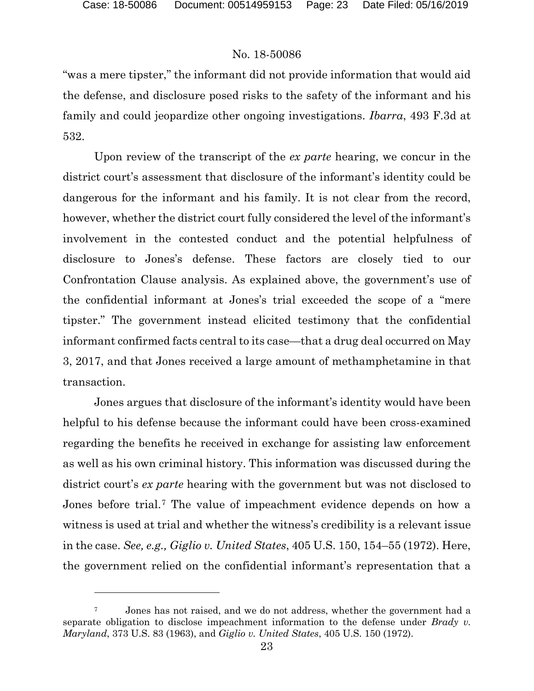$\overline{a}$ 

## No. 18-50086

"was a mere tipster," the informant did not provide information that would aid the defense, and disclosure posed risks to the safety of the informant and his family and could jeopardize other ongoing investigations. *Ibarra*, 493 F.3d at 532.

Upon review of the transcript of the *ex parte* hearing, we concur in the district court's assessment that disclosure of the informant's identity could be dangerous for the informant and his family. It is not clear from the record, however, whether the district court fully considered the level of the informant's involvement in the contested conduct and the potential helpfulness of disclosure to Jones's defense. These factors are closely tied to our Confrontation Clause analysis. As explained above, the government's use of the confidential informant at Jones's trial exceeded the scope of a "mere tipster." The government instead elicited testimony that the confidential informant confirmed facts central to its case—that a drug deal occurred on May 3, 2017, and that Jones received a large amount of methamphetamine in that transaction.

Jones argues that disclosure of the informant's identity would have been helpful to his defense because the informant could have been cross-examined regarding the benefits he received in exchange for assisting law enforcement as well as his own criminal history. This information was discussed during the district court's *ex parte* hearing with the government but was not disclosed to Jones before trial.[7](#page-22-0) The value of impeachment evidence depends on how a witness is used at trial and whether the witness's credibility is a relevant issue in the case. *See, e.g., Giglio v. United States*, 405 U.S. 150, 154–55 (1972). Here, the government relied on the confidential informant's representation that a

<span id="page-22-0"></span><sup>7</sup> Jones has not raised, and we do not address, whether the government had a separate obligation to disclose impeachment information to the defense under *Brady v. Maryland*, 373 U.S. 83 (1963), and *Giglio v. United States*, 405 U.S. 150 (1972).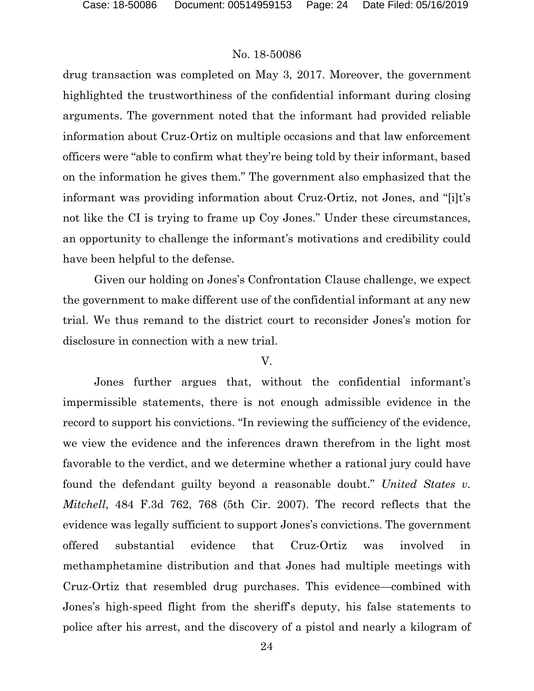drug transaction was completed on May 3, 2017. Moreover, the government highlighted the trustworthiness of the confidential informant during closing arguments. The government noted that the informant had provided reliable information about Cruz-Ortiz on multiple occasions and that law enforcement officers were "able to confirm what they're being told by their informant, based on the information he gives them." The government also emphasized that the informant was providing information about Cruz-Ortiz, not Jones, and "[i]t's not like the CI is trying to frame up Coy Jones." Under these circumstances, an opportunity to challenge the informant's motivations and credibility could have been helpful to the defense.

Given our holding on Jones's Confrontation Clause challenge, we expect the government to make different use of the confidential informant at any new trial. We thus remand to the district court to reconsider Jones's motion for disclosure in connection with a new trial.

#### V.

Jones further argues that, without the confidential informant's impermissible statements, there is not enough admissible evidence in the record to support his convictions. "In reviewing the sufficiency of the evidence, we view the evidence and the inferences drawn therefrom in the light most favorable to the verdict, and we determine whether a rational jury could have found the defendant guilty beyond a reasonable doubt." *United States v. Mitchell*, 484 F.3d 762, 768 (5th Cir. 2007). The record reflects that the evidence was legally sufficient to support Jones's convictions. The government offered substantial evidence that Cruz-Ortiz was involved in methamphetamine distribution and that Jones had multiple meetings with Cruz-Ortiz that resembled drug purchases. This evidence—combined with Jones's high-speed flight from the sheriff's deputy, his false statements to police after his arrest, and the discovery of a pistol and nearly a kilogram of